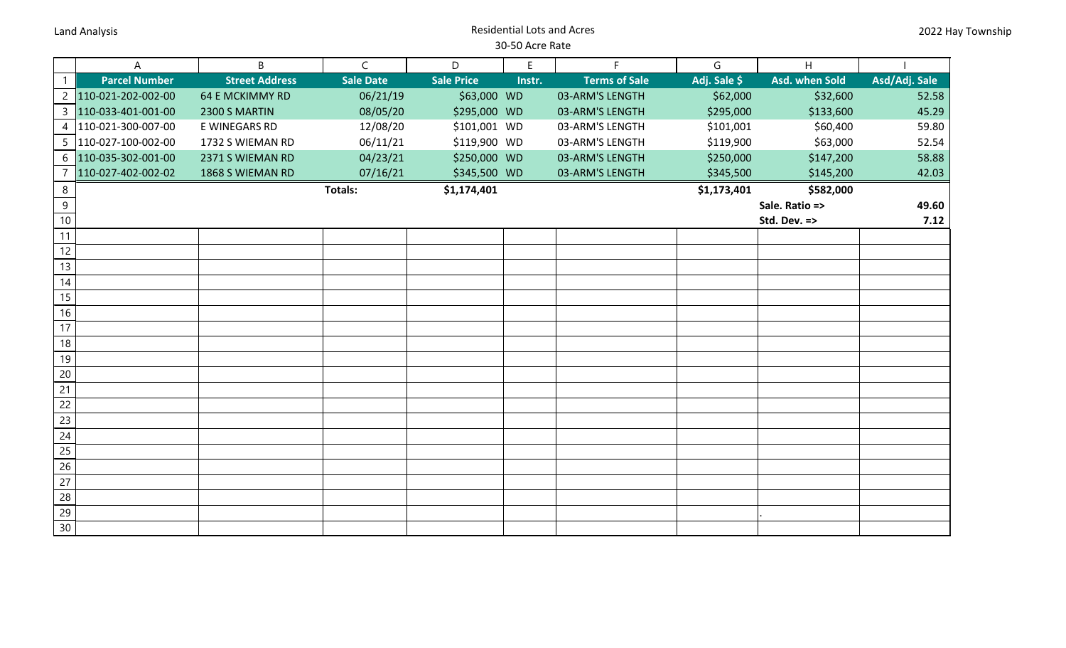## Land Analysis Residential Lots and Acres 30-50 Acre Rate

|                       | A                     | B                      | $\mathsf{C}$     | D                 | $\mathsf E$ | F.                   | G            | H                     |               |
|-----------------------|-----------------------|------------------------|------------------|-------------------|-------------|----------------------|--------------|-----------------------|---------------|
| $\overline{1}$        | <b>Parcel Number</b>  | <b>Street Address</b>  | <b>Sale Date</b> | <b>Sale Price</b> | Instr.      | <b>Terms of Sale</b> | Adj. Sale \$ | <b>Asd. when Sold</b> | Asd/Adj. Sale |
| $\overline{2}$        | 110-021-202-002-00    | <b>64 E MCKIMMY RD</b> | 06/21/19         | \$63,000 WD       |             | 03-ARM'S LENGTH      | \$62,000     | \$32,600              | 52.58         |
| $\overline{3}$        | 110-033-401-001-00    | 2300 S MARTIN          | 08/05/20         | \$295,000 WD      |             | 03-ARM'S LENGTH      | \$295,000    | \$133,600             | 45.29         |
| 4                     | 110-021-300-007-00    | E WINEGARS RD          | 12/08/20         | \$101,001 WD      |             | 03-ARM'S LENGTH      | \$101,001    | \$60,400              | 59.80         |
|                       | 5  110-027-100-002-00 | 1732 S WIEMAN RD       | 06/11/21         | \$119,900 WD      |             | 03-ARM'S LENGTH      | \$119,900    | \$63,000              | 52.54         |
| 6                     | 110-035-302-001-00    | 2371 S WIEMAN RD       | 04/23/21         | \$250,000 WD      |             | 03-ARM'S LENGTH      | \$250,000    | \$147,200             | 58.88         |
| $\overline{7}$        | 110-027-402-002-02    | 1868 S WIEMAN RD       | 07/16/21         | \$345,500 WD      |             | 03-ARM'S LENGTH      | \$345,500    | \$145,200             | 42.03         |
| $\,8\,$               |                       |                        | <b>Totals:</b>   | \$1,174,401       |             |                      | \$1,173,401  | \$582,000             |               |
| $\overline{9}$        |                       |                        |                  |                   |             |                      |              | Sale. Ratio =>        | 49.60         |
| $10$                  |                       |                        |                  |                   |             |                      |              | Std. Dev. =>          | 7.12          |
| 11                    |                       |                        |                  |                   |             |                      |              |                       |               |
| 12                    |                       |                        |                  |                   |             |                      |              |                       |               |
| 13                    |                       |                        |                  |                   |             |                      |              |                       |               |
| $14$                  |                       |                        |                  |                   |             |                      |              |                       |               |
| 15                    |                       |                        |                  |                   |             |                      |              |                       |               |
| 16                    |                       |                        |                  |                   |             |                      |              |                       |               |
| 17                    |                       |                        |                  |                   |             |                      |              |                       |               |
| 18                    |                       |                        |                  |                   |             |                      |              |                       |               |
| 19                    |                       |                        |                  |                   |             |                      |              |                       |               |
| 20                    |                       |                        |                  |                   |             |                      |              |                       |               |
| 21                    |                       |                        |                  |                   |             |                      |              |                       |               |
| 22                    |                       |                        |                  |                   |             |                      |              |                       |               |
| 23                    |                       |                        |                  |                   |             |                      |              |                       |               |
| 24                    |                       |                        |                  |                   |             |                      |              |                       |               |
| 25                    |                       |                        |                  |                   |             |                      |              |                       |               |
| 26                    |                       |                        |                  |                   |             |                      |              |                       |               |
| 27                    |                       |                        |                  |                   |             |                      |              |                       |               |
| 28<br>$\overline{29}$ |                       |                        |                  |                   |             |                      |              |                       |               |
|                       |                       |                        |                  |                   |             |                      |              |                       |               |
| 30 <sup>°</sup>       |                       |                        |                  |                   |             |                      |              |                       |               |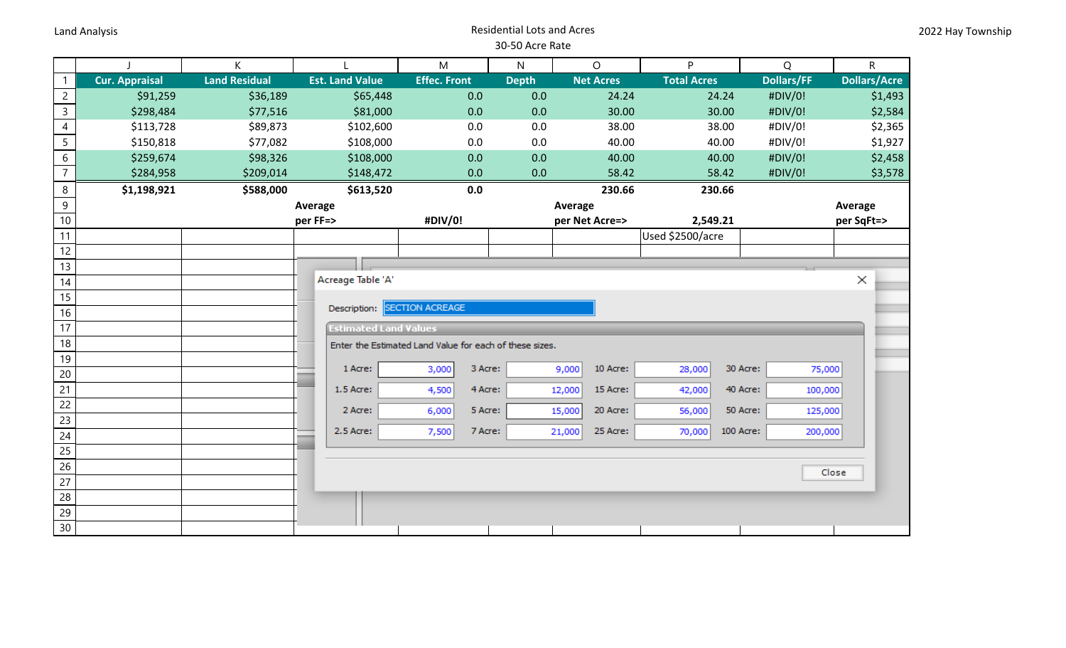## Land Analysis Residential Lots and Acres 30-50 Acre Rate

|                 |                       | K                    |                                                         | M                      | N            | $\circ$            | P.                 | Q                 | $\mathsf{R}$        |  |
|-----------------|-----------------------|----------------------|---------------------------------------------------------|------------------------|--------------|--------------------|--------------------|-------------------|---------------------|--|
| $\overline{1}$  | <b>Cur. Appraisal</b> | <b>Land Residual</b> | <b>Est. Land Value</b>                                  | <b>Effec. Front</b>    | <b>Depth</b> | <b>Net Acres</b>   | <b>Total Acres</b> | <b>Dollars/FF</b> | <b>Dollars/Acre</b> |  |
| $\overline{c}$  | \$91,259              | \$36,189             | \$65,448                                                | 0.0                    | 0.0          | 24.24              | 24.24              | #DIV/0!           | \$1,493             |  |
| $\overline{3}$  | \$298,484             | \$77,516             | \$81,000                                                | 0.0                    | 0.0          | 30.00              | 30.00              | #DIV/0!           | \$2,584             |  |
| $\overline{4}$  | \$113,728             | \$89,873             | \$102,600                                               | 0.0                    | 0.0          | 38.00              | 38.00              | #DIV/0!           | \$2,365             |  |
| $\overline{5}$  | \$150,818             | \$77,082             | \$108,000                                               | 0.0                    | 0.0          | 40.00              | 40.00              | #DIV/0!           | \$1,927             |  |
| $\overline{6}$  | \$259,674             | \$98,326             | \$108,000                                               | 0.0                    | 0.0          | 40.00              | 40.00              | #DIV/0!           | \$2,458             |  |
| $\overline{7}$  | \$284,958             | \$209,014            | \$148,472                                               | 0.0                    | 0.0          | 58.42              | 58.42              | #DIV/0!           | \$3,578             |  |
| $\bf 8$         | \$1,198,921           | \$588,000            | \$613,520                                               | 0.0                    |              | 230.66             | 230.66             |                   |                     |  |
| $\overline{9}$  | Average               |                      |                                                         |                        | Average      |                    |                    | Average           |                     |  |
| 10 <sup>°</sup> | per FF=>              |                      |                                                         | #DIV/0!                |              | per Net Acre=>     | 2,549.21           |                   | per SqFt=>          |  |
| 11              |                       |                      |                                                         |                        |              |                    | Used \$2500/acre   |                   |                     |  |
| 12              |                       |                      |                                                         |                        |              |                    |                    |                   |                     |  |
| 13              |                       |                      |                                                         |                        |              |                    |                    |                   |                     |  |
| 14              |                       |                      | Acreage Table 'A'                                       |                        |              |                    |                    |                   | $\times$            |  |
| 15              |                       |                      | Description:                                            | <b>SECTION ACREAGE</b> |              |                    |                    |                   |                     |  |
| 16              |                       |                      |                                                         |                        |              |                    |                    |                   |                     |  |
| 17              |                       |                      | <b>Estimated Land Values</b>                            |                        |              |                    |                    |                   |                     |  |
| 18              |                       |                      | Enter the Estimated Land Value for each of these sizes. |                        |              |                    |                    |                   |                     |  |
| 19<br>20        |                       |                      | 1 Acre:                                                 | 3,000                  | 3 Acre:      | 10 Acre:<br>9,000  | 28,000             | 30 Acre:          | 75,000              |  |
| 21              |                       |                      | 1.5 Acre:                                               | 4,500                  | 4 Acre:      | 15 Acre:<br>12,000 | 42,000             | 40 Acre:          | 100,000             |  |
| 22              |                       |                      |                                                         |                        |              |                    |                    |                   |                     |  |
| 23              |                       |                      | 2 Acre:                                                 | 6,000                  | 5 Acre:      | 20 Acre:<br>15,000 | 56,000             | 50 Acre:          | 125,000             |  |
| 24              |                       |                      | 2.5 Acre:                                               | 7,500                  | 7 Acre:      | 25 Acre:<br>21,000 | 70,000             | 100 Acre:         | 200,000             |  |
| 25              |                       |                      |                                                         |                        |              |                    |                    |                   |                     |  |
| 26              |                       |                      |                                                         |                        |              |                    |                    |                   |                     |  |
| 27              |                       |                      |                                                         |                        |              |                    |                    |                   | Close               |  |
| 28              |                       |                      |                                                         |                        |              |                    |                    |                   |                     |  |
| 29              |                       |                      |                                                         |                        |              |                    |                    |                   |                     |  |
| 30              |                       |                      |                                                         |                        |              |                    |                    |                   |                     |  |